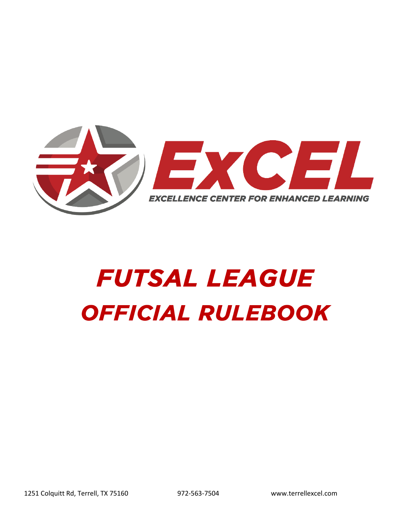

# **FUTSAL LEAGUE OFFICIAL RULEBOOK**

1251 Colquitt Rd, Terrell, TX 75160 972-563-7504 www.terrellexcel.com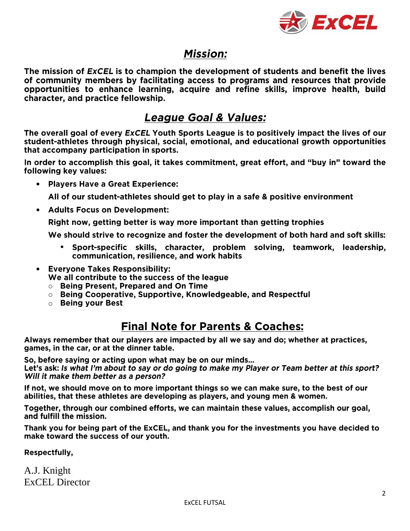

#### **Mission:**

The mission of ExCEL is to champion the development of students and benefit the lives of community members by facilitating access to programs and resources that provide opportunities to enhance learning, acquire and refine skills, improve health, build character, and practice fellowship.

#### **League Goal & Values:**

The overall goal of every ExCEL Youth Sports League is to positively impact the lives of our student-athletes through physical, social, emotional, and educational growth opportunities that accompany participation in sports.

In order to accomplish this goal, it takes commitment, great effort, and "buy in" toward the following key values:

• Players Have a Great Experience:

All of our student-athletes should get to play in a safe & positive environment

• Adults Focus on Development:

Right now, getting better is way more important than getting trophies

We should strive to recognize and foster the development of both hard and soft skills:

- " Sport-specific skills, character, problem solving, teamwork, leadership, communication, resilience, and work habits
- Everyone Takes Responsibility: We all contribute to the success of the league
	- Being Present, Prepared and On Time
	- $\circ$  Being Cooperative, Supportive, Knowledgeable, and Respectful
	- Being vour Best

#### **Final Note for Parents & Coaches:**

Always remember that our players are impacted by all we say and do; whether at practices, games, in the car, or at the dinner table.

So, before saying or acting upon what may be on our minds...

Let's ask: Is what I'm about to say or do going to make my Player or Team better at this sport? Will it make them better as a person?

If not, we should move on to more important things so we can make sure, to the best of our abilities, that these athletes are developing as players, and young men & women.

Together, through our combined efforts, we can maintain these values, accomplish our goal, and fulfill the mission.

Thank you for being part of the ExCEL, and thank you for the investments you have decided to make toward the success of our youth.

Respectfully,

A.J. Knight ExCEL Director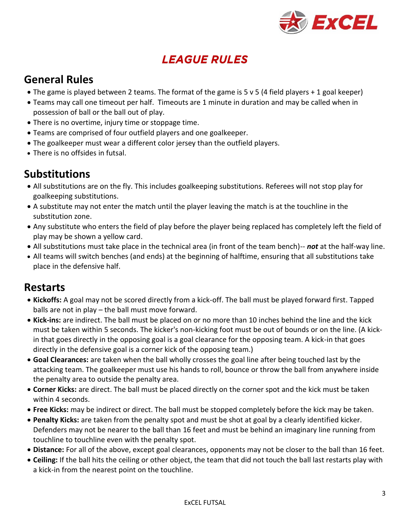

# **LEAGUE RULES**

## **General Rules**

- The game is played between 2 teams. The format of the game is 5 v 5 (4 field players + 1 goal keeper)
- Teams may call one timeout per half. Timeouts are 1 minute in duration and may be called when in possession of ball or the ball out of play.
- There is no overtime, injury time or stoppage time.
- Teams are comprised of four outfield players and one goalkeeper.
- The goalkeeper must wear a different color jersey than the outfield players.
- There is no offsides in futsal.

### **Substitutions**

- All substitutions are on the fly. This includes goalkeeping substitutions. Referees will not stop play for goalkeeping substitutions.
- A substitute may not enter the match until the player leaving the match is at the touchline in the substitution zone.
- Any substitute who enters the field of play before the player being replaced has completely left the field of play may be shown a yellow card.
- All substitutions must take place in the technical area (in front of the team bench)-- *not* at the half-way line.
- All teams will switch benches (and ends) at the beginning of halftime, ensuring that all substitutions take place in the defensive half.

#### **Restarts**

- **Kickoffs:** A goal may not be scored directly from a kick-off. The ball must be played forward first. Tapped balls are not in play – the ball must move forward.
- **Kick-ins:** are indirect. The ball must be placed on or no more than 10 inches behind the line and the kick must be taken within 5 seconds. The kicker's non-kicking foot must be out of bounds or on the line. (A kickin that goes directly in the opposing goal is a goal clearance for the opposing team. A kick-in that goes directly in the defensive goal is a corner kick of the opposing team.)
- **Goal Clearances:** are taken when the ball wholly crosses the goal line after being touched last by the attacking team. The goalkeeper must use his hands to roll, bounce or throw the ball from anywhere inside the penalty area to outside the penalty area.
- **Corner Kicks:** are direct. The ball must be placed directly on the corner spot and the kick must be taken within 4 seconds.
- **Free Kicks:** may be indirect or direct. The ball must be stopped completely before the kick may be taken.
- **Penalty Kicks:** are taken from the penalty spot and must be shot at goal by a clearly identified kicker. Defenders may not be nearer to the ball than 16 feet and must be behind an imaginary line running from touchline to touchline even with the penalty spot.
- **Distance:** For all of the above, except goal clearances, opponents may not be closer to the ball than 16 feet.
- **Ceiling:** If the ball hits the ceiling or other object, the team that did not touch the ball last restarts play with a kick-in from the nearest point on the touchline.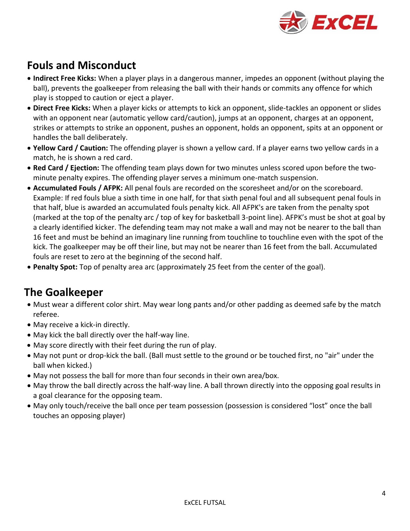

# **Fouls and Misconduct**

- **Indirect Free Kicks:** When a player plays in a dangerous manner, impedes an opponent (without playing the ball), prevents the goalkeeper from releasing the ball with their hands or commits any offence for which play is stopped to caution or eject a player.
- **Direct Free Kicks:** When a player kicks or attempts to kick an opponent, slide-tackles an opponent or slides with an opponent near (automatic yellow card/caution), jumps at an opponent, charges at an opponent, strikes or attempts to strike an opponent, pushes an opponent, holds an opponent, spits at an opponent or handles the ball deliberately.
- **Yellow Card / Caution:** The offending player is shown a yellow card. If a player earns two yellow cards in a match, he is shown a red card.
- **Red Card / Ejection:** The offending team plays down for two minutes unless scored upon before the twominute penalty expires. The offending player serves a minimum one-match suspension.
- **Accumulated Fouls / AFPK:** All penal fouls are recorded on the scoresheet and/or on the scoreboard. Example: If red fouls blue a sixth time in one half, for that sixth penal foul and all subsequent penal fouls in that half, blue is awarded an accumulated fouls penalty kick. All AFPK's are taken from the penalty spot (marked at the top of the penalty arc / top of key for basketball 3-point line). AFPK's must be shot at goal by a clearly identified kicker. The defending team may not make a wall and may not be nearer to the ball than 16 feet and must be behind an imaginary line running from touchline to touchline even with the spot of the kick. The goalkeeper may be off their line, but may not be nearer than 16 feet from the ball. Accumulated fouls are reset to zero at the beginning of the second half.
- **Penalty Spot:** Top of penalty area arc (approximately 25 feet from the center of the goal).

#### **The Goalkeeper**

- Must wear a different color shirt. May wear long pants and/or other padding as deemed safe by the match referee.
- May receive a kick-in directly.
- May kick the ball directly over the half-way line.
- May score directly with their feet during the run of play.
- May not punt or drop-kick the ball. (Ball must settle to the ground or be touched first, no "air" under the ball when kicked.)
- May not possess the ball for more than four seconds in their own area/box.
- May throw the ball directly across the half-way line. A ball thrown directly into the opposing goal results in a goal clearance for the opposing team.
- May only touch/receive the ball once per team possession (possession is considered "lost" once the ball touches an opposing player)